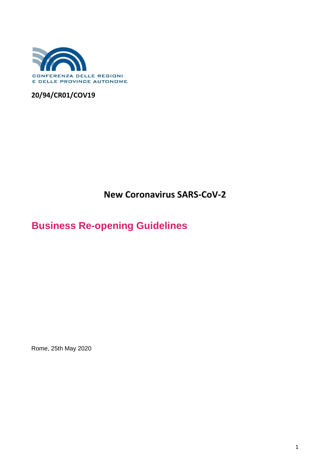

### **20/94/CR01/COV19**

**New Coronavirus SARS-CoV-2**

# **Business Re-opening Guidelines**

Rome, 25th May 2020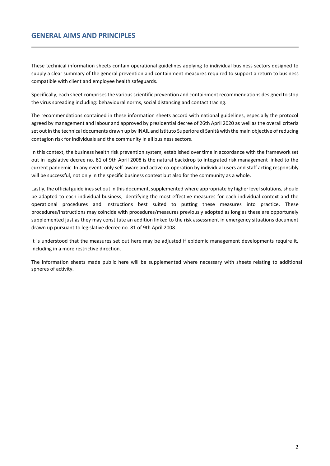### **GENERAL AIMS AND PRINCIPLES**

These technical information sheets contain operational guidelines applying to individual business sectors designed to supply a clear summary of the general prevention and containment measures required to support a return to business compatible with client and employee health safeguards.

Specifically, each sheet comprises the various scientific prevention and containment recommendations designed to stop the virus spreading including: behavioural norms, social distancing and contact tracing.

The recommendations contained in these information sheets accord with national guidelines, especially the protocol agreed by management and labour and approved by presidential decree of 26th April 2020 as well as the overall criteria set out in the technical documents drawn up by INAIL and Istituto Superiore di Sanità with the main objective of reducing contagion risk for individuals and the community in all business sectors.

In this context, the business health risk prevention system, established over time in accordance with the framework set out in legislative decree no. 81 of 9th April 2008 is the natural backdrop to integrated risk management linked to the current pandemic. In any event, only self-aware and active co-operation by individual users and staff acting responsibly will be successful, not only in the specific business context but also for the community as a whole.

Lastly, the official guidelines set out in this document, supplemented where appropriate by higher level solutions, should be adapted to each individual business, identifying the most effective measures for each individual context and the operational procedures and instructions best suited to putting these measures into practice. These procedures/instructions may coincide with procedures/measures previously adopted as long as these are opportunely supplemented just as they may constitute an addition linked to the risk assessment in emergency situations document drawn up pursuant to legislative decree no. 81 of 9th April 2008.

It is understood that the measures set out here may be adjusted if epidemic management developments require it, including in a more restrictive direction.

The information sheets made public here will be supplemented where necessary with sheets relating to additional spheres of activity.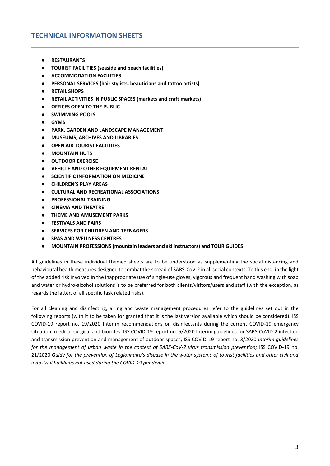### **TECHNICAL INFORMATION SHEETS**

- **● RESTAURANTS**
- **● TOURIST FACILITIES (seaside and beach facilities)**
- **● ACCOMMODATION FACILITIES**
- **● PERSONAL SERVICES (hair stylists, beauticians and tattoo artists)**
- **● RETAIL SHOPS**
- **● RETAIL ACTIVITIES IN PUBLIC SPACES (markets and craft markets)**
- **● OFFICES OPEN TO THE PUBLIC**
- **● SWIMMING POOLS**
- **● GYMS**
- **● PARK, GARDEN AND LANDSCAPE MANAGEMENT**
- **● MUSEUMS, ARCHIVES AND LIBRARIES**
- **● OPEN AIR TOURIST FACILITIES**
- **● MOUNTAIN HUTS**
- **● OUTDOOR EXERCISE**
- **● VEHICLE AND OTHER EQUIPMENT RENTAL**
- **● SCIENTIFIC INFORMATION ON MEDICINE**
- **● CHILDREN'S PLAY AREAS**
- **● CULTURAL AND RECREATIONAL ASSOCIATIONS**
- **● PROFESSIONAL TRAINING**
- **● CINEMA AND THEATRE**
- **● THEME AND AMUSEMENT PARKS**
- **● FESTIVALS AND FAIRS**
- **● SERVICES FOR CHILDREN AND TEENAGERS**
- **● SPAS AND WELLNESS CENTRES**
- **● MOUNTAIN PROFESSIONS (mountain leaders and ski instructors) and TOUR GUIDES**

All guidelines in these individual themed sheets are to be understood as supplementing the social distancing and behavioural health measures designed to combat the spread of SARS-CoV-2 in all social contexts. To this end, in the light of the added risk involved in the inappropriate use of single-use gloves, vigorous and frequent hand washing with soap and water or hydro-alcohol solutions is to be preferred for both clients/visitors/users and staff (with the exception, as regards the latter, of all specific task related risks).

For all cleaning and disinfecting, airing and waste management procedures refer to the guidelines set out in the following reports (with it to be taken for granted that it is the last version available which should be considered). ISS COVID-19 report no. 19/2020 Interim recommendations on disinfectants during the current COVID-19 emergency situation: medical-surgical and biocides; ISS COVID-19 report no. 5/2020 Interim guidelines for SARS-CoVID-2 infection and transmission prevention and management of outdoor spaces; ISS COVID-19 report no. 3/2020 *Interim guidelines for the management of urban waste in the context of SARS-CoV-2 virus transmission prevention;* ISS COVID-19 no. 21/2020 *Guide for the prevention of Legionnaire's disease in the water systems of tourist facilities and other civil and industrial buildings not used during the COVID-19 pandemic.*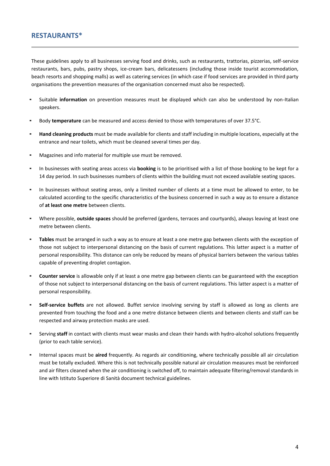### **RESTAURANTS\***

These guidelines apply to all businesses serving food and drinks, such as restaurants, trattorias, pizzerias, self-service restaurants, bars, pubs, pastry shops, ice-cream bars, delicatessens (including those inside tourist accommodation, beach resorts and shopping malls) as well as catering services (in which case if food services are provided in third party organisations the prevention measures of the organisation concerned must also be respected).

- Suitable information on prevention measures must be displayed which can also be understood by non-Italian speakers.
- Body *temperature* can be measured and access denied to those with temperatures of over 37.5°C.
- Hand cleaning products must be made available for clients and staff including in multiple locations, especially at the entrance and near toilets, which must be cleaned several times per day.
- Magazines and info material for multiple use must be removed.
- In businesses with seating areas access via **booking** is to be prioritised with a list of those booking to be kept for a 14 day period. In such businesses numbers of clients within the building must not exceed available seating spaces.
- In businesses without seating areas, only a limited number of clients at a time must be allowed to enter, to be calculated according to the specific characteristics of the business concerned in such a way as to ensure a distance of **at least one metre** between clients.
- Where possible, **outside spaces** should be preferred (gardens, terraces and courtyards), always leaving at least one metre between clients.
- Tables must be arranged in such a way as to ensure at least a one metre gap between clients with the exception of those not subject to interpersonal distancing on the basis of current regulations. This latter aspect is a matter of personal responsibility. This distance can only be reduced by means of physical barriers between the various tables capable of preventing droplet contagion.
- **Counter service** is allowable only if at least a one metre gap between clients can be guaranteed with the exception of those not subject to interpersonal distancing on the basis of current regulations. This latter aspect is a matter of personal responsibility.
- Self-service buffets are not allowed. Buffet service involving serving by staff is allowed as long as clients are prevented from touching the food and a one metre distance between clients and between clients and staff can be respected and airway protection masks are used.
- Serving staff in contact with clients must wear masks and clean their hands with hydro-alcohol solutions frequently (prior to each table service).
- Internal spaces must be aired frequently. As regards air conditioning, where technically possible all air circulation must be totally excluded. Where this is not technically possible natural air circulation measures must be reinforced and air filters cleaned when the air conditioning is switched off, to maintain adequate filtering/removal standards in line with Istituto Superiore di Sanità document technical guidelines.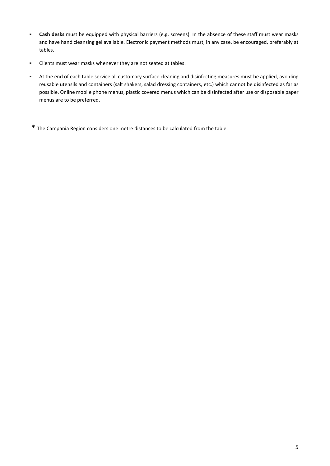- **Cash desks** must be equipped with physical barriers (e.g. screens). In the absence of these staff must wear masks and have hand cleansing gel available. Electronic payment methods must, in any case, be encouraged, preferably at tables.
- Clients must wear masks whenever they are not seated at tables.
- At the end of each table service all customary surface cleaning and disinfecting measures must be applied, avoiding reusable utensils and containers (salt shakers, salad dressing containers, etc.) which cannot be disinfected as far as possible. Online mobile phone menus, plastic covered menus which can be disinfected after use or disposable paper menus are to be preferred.

**\*** The Campania Region considers one metre distances to be calculated from the table.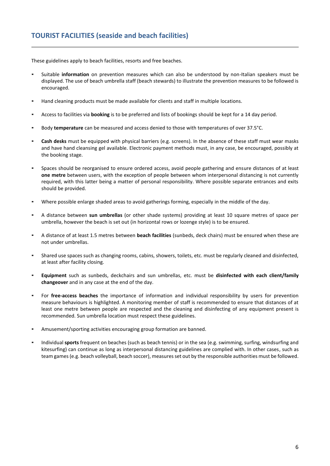These guidelines apply to beach facilities, resorts and free beaches.

- Suitable **information** on prevention measures which can also be understood by non-Italian speakers must be displayed. The use of beach umbrella staff (beach stewards) to illustrate the prevention measures to be followed is encouraged.
- Hand cleaning products must be made available for clients and staff in multiple locations.
- Access to facilities via **booking** is to be preferred and lists of bookings should be kept for a 14 day period.
- Body **temperature** can be measured and access denied to those with temperatures of over 37.5°C.
- Cash desks must be equipped with physical barriers (e.g. screens). In the absence of these staff must wear masks and have hand cleansing gel available. Electronic payment methods must, in any case, be encouraged, possibly at the booking stage.
- Spaces should be reorganised to ensure ordered access, avoid people gathering and ensure distances of at least **one metre** between users, with the exception of people between whom interpersonal distancing is not currently required, with this latter being a matter of personal responsibility. Where possible separate entrances and exits should be provided.
- Where possible enlarge shaded areas to avoid gatherings forming, especially in the middle of the day.
- A distance between **sun umbrellas** (or other shade systems) providing at least 10 square metres of space per umbrella, however the beach is set out (in horizontal rows or lozenge style) is to be ensured.
- A distance of at least 1.5 metres between **beach facilities** (sunbeds, deck chairs) must be ensured when these are not under umbrellas.
- Shared use spaces such as changing rooms, cabins, showers, toilets, etc. must be regularly cleaned and disinfected, at least after facility closing.
- Equipment such as sunbeds, deckchairs and sun umbrellas, etc. must be disinfected with each client/family **changeover** and in any case at the end of the day.
- For **free-access beaches** the importance of information and individual responsibility by users for prevention measure behaviours is highlighted. A monitoring member of staff is recommended to ensure that distances of at least one metre between people are respected and the cleaning and disinfecting of any equipment present is recommended. Sun umbrella location must respect these guidelines.
- Amusement/sporting activities encouraging group formation are banned.
- Individual **sports** frequent on beaches (such as beach tennis) or in the sea (e.g. swimming, surfing, windsurfing and kitesurfing) can continue as long as interpersonal distancing guidelines are complied with. In other cases, such as team games (e.g. beach volleyball, beach soccer), measures set out by the responsible authorities must be followed.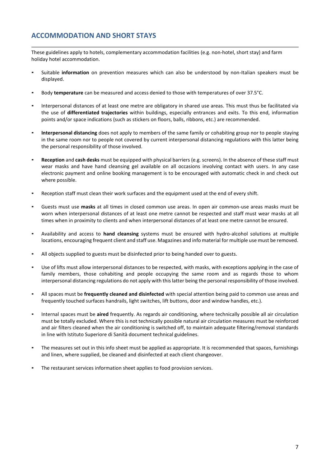### **ACCOMMODATION AND SHORT STAYS**

These guidelines apply to hotels, complementary accommodation facilities (e.g. non-hotel, short stay) and farm holiday hotel accommodation.

- Suitable **information** on prevention measures which can also be understood by non-Italian speakers must be displayed.
- Body **temperature** can be measured and access denied to those with temperatures of over 37.5°C.
- Interpersonal distances of at least one metre are obligatory in shared use areas. This must thus be facilitated via the use of **differentiated trajectories** within buildings, especially entrances and exits. To this end, information points and/or space indications (such as stickers on floors, balls, ribbons, etc.) are recommended.
- Interpersonal distancing does not apply to members of the same family or cohabiting group nor to people staying in the same room nor to people not covered by current interpersonal distancing regulations with this latter being the personal responsibility of those involved.
- Reception and cash desks must be equipped with physical barriers (e.g. screens). In the absence of these staff must wear masks and have hand cleansing gel available on all occasions involving contact with users. In any case electronic payment and online booking management is to be encouraged with automatic check in and check out where possible.
- Reception staff must clean their work surfaces and the equipment used at the end of every shift.
- Guests must use masks at all times in closed common use areas. In open air common-use areas masks must be worn when interpersonal distances of at least one metre cannot be respected and staff must wear masks at all times when in proximity to clients and when interpersonal distances of at least one metre cannot be ensured.
- Availability and access to **hand cleansing** systems must be ensured with hydro-alcohol solutions at multiple locations, encouraging frequent client and staff use. Magazines and info material for multiple use must be removed.
- All objects supplied to guests must be disinfected prior to being handed over to guests.
- Use of lifts must allow interpersonal distances to be respected, with masks, with exceptions applying in the case of family members, those cohabiting and people occupying the same room and as regards those to whom interpersonal distancing regulations do not apply with this latter being the personal responsibility of those involved.
- All spaces must be *frequently cleaned and disinfected* with special attention being paid to common use areas and frequently touched surfaces handrails, light switches, lift buttons, door and window handles, etc.).
- Internal spaces must be aired frequently. As regards air conditioning, where technically possible all air circulation must be totally excluded. Where this is not technically possible natural air circulation measures must be reinforced and air filters cleaned when the air conditioning is switched off, to maintain adequate filtering/removal standards in line with Istituto Superiore di Sanità document technical guidelines.
- The measures set out in this info sheet must be applied as appropriate. It is recommended that spaces, furnishings and linen, where supplied, be cleaned and disinfected at each client changeover.
- The restaurant services information sheet applies to food provision services.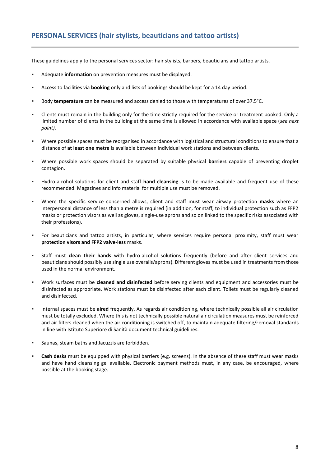These guidelines apply to the personal services sector: hair stylists, barbers, beauticians and tattoo artists.

- Adequate **information** on prevention measures must be displayed.
- Access to facilities via **booking** only and lists of bookings should be kept for a 14 day period.
- Body **temperature** can be measured and access denied to those with temperatures of over 37.5°C.
- Clients must remain in the building only for the time strictly required for the service or treatment booked. Only a limited number of clients in the building at the same time is allowed in accordance with available space (*see next point)*.
- Where possible spaces must be reorganised in accordance with logistical and structural conditions to ensure that a distance of **at least one metre** is available between individual work stations and between clients.
- Where possible work spaces should be separated by suitable physical **barriers** capable of preventing droplet contagion.
- Hydro-alcohol solutions for client and staff **hand cleansing** is to be made available and frequent use of these recommended. Magazines and info material for multiple use must be removed.
- Where the specific service concerned allows, client and staff must wear airway protection masks where an interpersonal distance of less than a metre is required (in addition, for staff, to individual protection such as FFP2 masks or protection visors as well as gloves, single-use aprons and so on linked to the specific risks associated with their professions).
- For beauticians and tattoo artists, in particular, where services require personal proximity, staff must wear **protection visors and FFP2 valve-less** masks.
- Staff must **clean their hands** with hydro-alcohol solutions frequently (before and after client services and beauticians should possibly use single use overalls/aprons). Different gloves must be used in treatments from those used in the normal environment.
- Work surfaces must be **cleaned and disinfected** before serving clients and equipment and accessories must be disinfected as appropriate. Work stations must be disinfected after each client. Toilets must be regularly cleaned and disinfected.
- Internal spaces must be aired frequently. As regards air conditioning, where technically possible all air circulation must be totally excluded. Where this is not technically possible natural air circulation measures must be reinforced and air filters cleaned when the air conditioning is switched off, to maintain adequate filtering/removal standards in line with Istituto Superiore di Sanità document technical guidelines.
- Saunas, steam baths and Jacuzzis are forbidden.
- Cash desks must be equipped with physical barriers (e.g. screens). In the absence of these staff must wear masks and have hand cleansing gel available. Electronic payment methods must, in any case, be encouraged, where possible at the booking stage.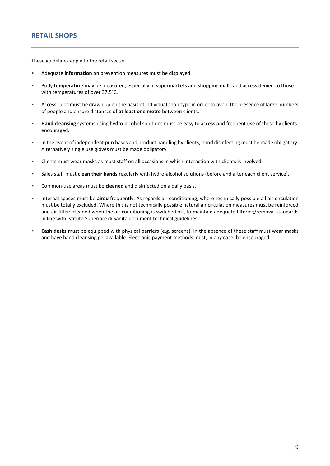These guidelines apply to the retail sector.

- Adequate **information** on prevention measures must be displayed.
- Body **temperature** may be measured, especially in supermarkets and shopping malls and access denied to those with temperatures of over 37.5°C.
- Access rules must be drawn up on the basis of individual shop type in order to avoid the presence of large numbers of people and ensure distances of **at least one metre** between clients.
- **EXECT Hand cleansing** systems using hydro-alcohol solutions must be easy to access and frequent use of these by clients encouraged.
- In the event of independent purchases and product handling by clients, hand disinfecting must be made obligatory. Alternatively single use gloves must be made obligatory.
- Clients must wear masks as must staff on all occasions in which interaction with clients is involved.
- Sales staff must **clean their hands** regularly with hydro-alcohol solutions (before and after each client service).
- Common-use areas must be **cleaned** and disinfected on a daily basis.
- Internal spaces must be **aired** frequently. As regards air conditioning, where technically possible all air circulation must be totally excluded. Where this is not technically possible natural air circulation measures must be reinforced and air filters cleaned when the air conditioning is switched off, to maintain adequate filtering/removal standards in line with Istituto Superiore di Sanità document technical guidelines.
- **Cash desks** must be equipped with physical barriers (e.g. screens). In the absence of these staff must wear masks and have hand cleansing gel available. Electronic payment methods must, in any case, be encouraged.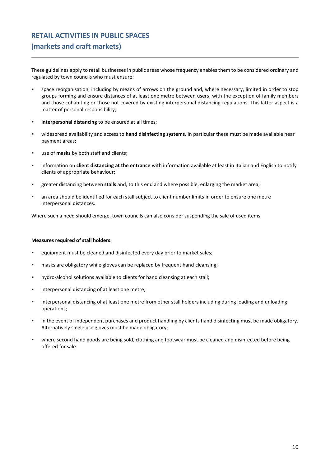# **RETAIL ACTIVITIES IN PUBLIC SPACES (markets and craft markets)**

These guidelines apply to retail businesses in public areas whose frequency enables them to be considered ordinary and regulated by town councils who must ensure:

- space reorganisation, including by means of arrows on the ground and, where necessary, limited in order to stop groups forming and ensure distances of at least one metre between users, with the exception of family members and those cohabiting or those not covered by existing interpersonal distancing regulations. This latter aspect is a matter of personal responsibility;
- **interpersonal distancing** to be ensured at all times;
- widespread availability and access to **hand disinfecting systems**. In particular these must be made available near payment areas;
- use of **masks** by both staff and clients;
- information on **client distancing at the entrance** with information available at least in Italian and English to notify clients of appropriate behaviour;
- greater distancing between **stalls** and, to this end and where possible, enlarging the market area;
- an area should be identified for each stall subject to client number limits in order to ensure one metre interpersonal distances.

Where such a need should emerge, town councils can also consider suspending the sale of used items.

#### **Measures required of stall holders:**

- equipment must be cleaned and disinfected every day prior to market sales;
- masks are obligatory while gloves can be replaced by frequent hand cleansing;
- hydro-alcohol solutions available to clients for hand cleansing at each stall;
- interpersonal distancing of at least one metre;
- interpersonal distancing of at least one metre from other stall holders including during loading and unloading operations;
- in the event of independent purchases and product handling by clients hand disinfecting must be made obligatory. Alternatively single use gloves must be made obligatory;
- where second hand goods are being sold, clothing and footwear must be cleaned and disinfected before being offered for sale.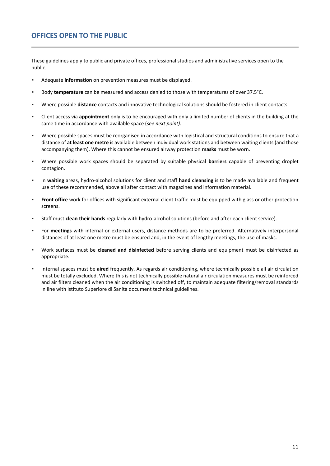These guidelines apply to public and private offices, professional studios and administrative services open to the public.

- Adequate *information* on prevention measures must be displayed.
- Body **temperature** can be measured and access denied to those with temperatures of over 37.5°C.
- Where possible **distance** contacts and innovative technological solutions should be fostered in client contacts.
- Client access via **appointment** only is to be encouraged with only a limited number of clients in the building at the same time in accordance with available space (*see next point)*.
- Where possible spaces must be reorganised in accordance with logistical and structural conditions to ensure that a distance of **at least one metre** is available between individual work stations and between waiting clients (and those accompanying them). Where this cannot be ensured airway protection **masks** must be worn.
- Where possible work spaces should be separated by suitable physical **barriers** capable of preventing droplet contagion.
- In waiting areas, hydro-alcohol solutions for client and staff hand cleansing is to be made available and frequent use of these recommended, above all after contact with magazines and information material.
- **Front office** work for offices with significant external client traffic must be equipped with glass or other protection screens.
- Staff must **clean their hands** regularly with hydro-alcohol solutions (before and after each client service).
- For **meetings** with internal or external users, distance methods are to be preferred. Alternatively interpersonal distances of at least one metre must be ensured and, in the event of lengthy meetings, the use of masks.
- Work surfaces must be **cleaned and disinfected** before serving clients and equipment must be disinfected as appropriate.
- Internal spaces must be aired frequently. As regards air conditioning, where technically possible all air circulation must be totally excluded. Where this is not technically possible natural air circulation measures must be reinforced and air filters cleaned when the air conditioning is switched off, to maintain adequate filtering/removal standards in line with Istituto Superiore di Sanità document technical guidelines.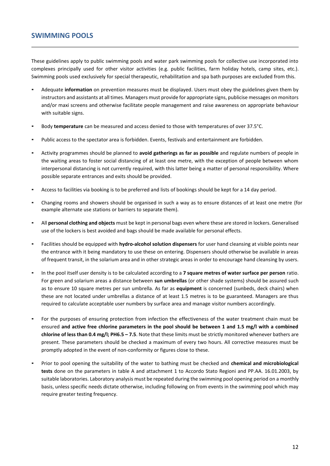These guidelines apply to public swimming pools and water park swimming pools for collective use incorporated into complexes principally used for other visitor activities (e.g. public facilities, farm holiday hotels, camp sites, etc.). Swimming pools used exclusively for special therapeutic, rehabilitation and spa bath purposes are excluded from this.

- Adequate **information** on prevention measures must be displayed. Users must obey the guidelines given them by instructors and assistants at all times. Managers must provide for appropriate signs, publicise messages on monitors and/or maxi screens and otherwise facilitate people management and raise awareness on appropriate behaviour with suitable signs.
- Body **temperature** can be measured and access denied to those with temperatures of over 37.5°C.
- Public access to the spectator area is forbidden. Events, festivals and entertainment are forbidden.
- Activity programmes should be planned to **avoid gatherings as far as possible** and regulate numbers of people in the waiting areas to foster social distancing of at least one metre, with the exception of people between whom interpersonal distancing is not currently required, with this latter being a matter of personal responsibility. Where possible separate entrances and exits should be provided.
- Access to facilities via booking is to be preferred and lists of bookings should be kept for a 14 day period.
- Changing rooms and showers should be organised in such a way as to ensure distances of at least one metre (for example alternate use stations or barriers to separate them).
- All personal clothing and objects must be kept in personal bags even where these are stored in lockers. Generalised use of the lockers is best avoided and bags should be made available for personal effects.
- Facilities should be equipped with **hydro-alcohol solution dispensers** for user hand cleansing at visible points near the entrance with it being mandatory to use these on entering. Dispensers should otherwise be available in areas of frequent transit, in the solarium area and in other strategic areas in order to encourage hand cleansing by users.
- In the pool itself user density is to be calculated according to a 7 square metres of water surface per person ratio. For green and solarium areas a distance between **sun umbrellas** (or other shade systems) should be assured such as to ensure 10 square metres per sun umbrella. As far as **equipment** is concerned (sunbeds, deck chairs) when these are not located under umbrellas a distance of at least 1.5 metres is to be guaranteed. Managers are thus required to calculate acceptable user numbers by surface area and manage visitor numbers accordingly.
- For the purposes of ensuring protection from infection the effectiveness of the water treatment chain must be ensured **and active free chlorine parameters in the pool should be between 1 and 1.5 mg/l with a combined chlorine of less than 0.4 mg/l; PH6.5 – 7.5**. Note that these limits must be strictly monitored whenever bathers are present. These parameters should be checked a maximum of every two hours. All corrective measures must be promptly adopted in the event of non-conformity or figures close to these.
- Prior to pool opening the suitability of the water to bathing must be checked and **chemical and microbiological tests** done on the parameters in table A and attachment 1 to Accordo Stato Regioni and PP.AA. 16.01.2003, by suitable laboratories. Laboratory analysis must be repeated during the swimming pool opening period on a monthly basis, unless specific needs dictate otherwise, including following on from events in the swimming pool which may require greater testing frequency.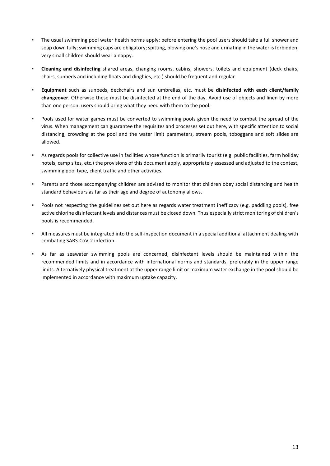- The usual swimming pool water health norms apply: before entering the pool users should take a full shower and soap down fully; swimming caps are obligatory; spitting, blowing one's nose and urinating in the water is forbidden; very small children should wear a nappy.
- **Cleaning and disinfecting** shared areas, changing rooms, cabins, showers, toilets and equipment (deck chairs, chairs, sunbeds and including floats and dinghies, etc.) should be frequent and regular.
- **Equipment** such as sunbeds, deckchairs and sun umbrellas, etc. must be **disinfected with each client/family changeover**. Otherwise these must be disinfected at the end of the day. Avoid use of objects and linen by more than one person: users should bring what they need with them to the pool.
- Pools used for water games must be converted to swimming pools given the need to combat the spread of the virus. When management can guarantee the requisites and processes set out here, with specific attention to social distancing, crowding at the pool and the water limit parameters, stream pools, toboggans and soft slides are allowed.
- As regards pools for collective use in facilities whose function is primarily tourist (e.g. public facilities, farm holiday hotels, camp sites, etc.) the provisions of this document apply, appropriately assessed and adjusted to the contest, swimming pool type, client traffic and other activities.
- Parents and those accompanying children are advised to monitor that children obey social distancing and health standard behaviours as far as their age and degree of autonomy allows.
- Pools not respecting the guidelines set out here as regards water treatment inefficacy (e.g. paddling pools), free active chlorine disinfectant levels and distances must be closed down. Thus especially strict monitoring of children's pools is recommended.
- All measures must be integrated into the self-inspection document in a special additional attachment dealing with combating SARS-CoV-2 infection.
- As far as seawater swimming pools are concerned, disinfectant levels should be maintained within the recommended limits and in accordance with international norms and standards, preferably in the upper range limits. Alternatively physical treatment at the upper range limit or maximum water exchange in the pool should be implemented in accordance with maximum uptake capacity.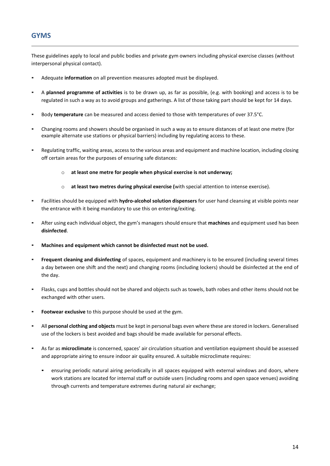### **GYMS**

These guidelines apply to local and public bodies and private gym owners including physical exercise classes (without interpersonal physical contact).

- Adequate **information** on all prevention measures adopted must be displayed.
- A **planned programme of activities** is to be drawn up, as far as possible, (e.g. with booking) and access is to be regulated in such a way as to avoid groups and gatherings. A list of those taking part should be kept for 14 days.
- Body **temperature** can be measured and access denied to those with temperatures of over 37.5°C.
- Changing rooms and showers should be organised in such a way as to ensure distances of at least one metre (for example alternate use stations or physical barriers) including by regulating access to these.
- Regulating traffic, waiting areas, access to the various areas and equipment and machine location, including closing off certain areas for the purposes of ensuring safe distances:
	- o **at least one metre for people when physical exercise is not underway;**
	- o **at least two metres during physical exercise (**with special attention to intense exercise).
- Facilities should be equipped with **hydro-alcohol solution dispensers** for user hand cleansing at visible points near the entrance with it being mandatory to use this on entering/exiting.
- After using each individual object, the gym's managers should ensure that **machines** and equipment used has been **disinfected**.
- Machines and equipment which cannot be disinfected must not be used.
- **Frequent cleaning and disinfecting** of spaces, equipment and machinery is to be ensured (including several times a day between one shift and the next) and changing rooms (including lockers) should be disinfected at the end of the day.
- Flasks, cups and bottles should not be shared and objects such as towels, bath robes and other items should not be exchanged with other users.
- **Footwear exclusive** to this purpose should be used at the gym.
- All **personal clothing and objects** must be kept in personal bags even where these are stored in lockers. Generalised use of the lockers is best avoided and bags should be made available for personal effects.
- As far as **microclimate** is concerned, spaces' air circulation situation and ventilation equipment should be assessed and appropriate airing to ensure indoor air quality ensured. A suitable microclimate requires:
	- ensuring periodic natural airing periodically in all spaces equipped with external windows and doors, where work stations are located for internal staff or outside users (including rooms and open space venues) avoiding through currents and temperature extremes during natural air exchange;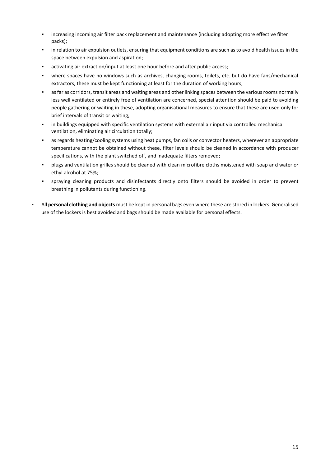- increasing incoming air filter pack replacement and maintenance (including adopting more effective filter packs);
- in relation to air expulsion outlets, ensuring that equipment conditions are such as to avoid health issues in the space between expulsion and aspiration;
- activating air extraction/input at least one hour before and after public access;
- . where spaces have no windows such as archives, changing rooms, toilets, etc. but do have fans/mechanical extractors, these must be kept functioning at least for the duration of working hours;
- as far as corridors, transit areas and waiting areas and other linking spaces between the various rooms normally less well ventilated or entirely free of ventilation are concerned, special attention should be paid to avoiding people gathering or waiting in these, adopting organisational measures to ensure that these are used only for brief intervals of transit or waiting;
- in buildings equipped with specific ventilation systems with external air input via controlled mechanical ventilation, eliminating air circulation totally;
- as regards heating/cooling systems using heat pumps, fan coils or convector heaters, wherever an appropriate temperature cannot be obtained without these, filter levels should be cleaned in accordance with producer specifications, with the plant switched off, and inadequate filters removed;
- plugs and ventilation grilles should be cleaned with clean microfibre cloths moistened with soap and water or ethyl alcohol at 75%;
- spraying cleaning products and disinfectants directly onto filters should be avoided in order to prevent breathing in pollutants during functioning.
- All **personal clothing and objects** must be kept in personal bags even where these are stored in lockers. Generalised use of the lockers is best avoided and bags should be made available for personal effects.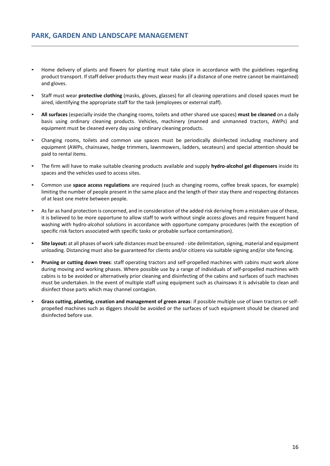- Home delivery of plants and flowers for planting must take place in accordance with the guidelines regarding product transport. If staff deliver products they must wear masks (if a distance of one metre cannot be maintained) and gloves.
- Staff must wear **protective clothing** (masks, gloves, glasses) for all cleaning operations and closed spaces must be aired, identifying the appropriate staff for the task (employees or external staff).
- **All surfaces** (especially inside the changing rooms, toilets and other shared use spaces) **must be cleaned** on a daily basis using ordinary cleaning products. Vehicles, machinery (manned and unmanned tractors, AWPs) and equipment must be cleaned every day using ordinary cleaning products.
- Changing rooms, toilets and common use spaces must be periodically disinfected including machinery and equipment (AWPs, chainsaws, hedge trimmers, lawnmowers, ladders, secateurs) and special attention should be paid to rental items.
- The firm will have to make suitable cleaning products available and supply **hydro-alcohol gel dispensers** inside its spaces and the vehicles used to access sites.
- Common use **space access regulations** are required (such as changing rooms, coffee break spaces, for example) limiting the number of people present in the same place and the length of their stay there and respecting distances of at least one metre between people.
- As far as hand protection is concerned, and in consideration of the added risk deriving from a mistaken use of these, it is believed to be more opportune to allow staff to work without single access gloves and require frequent hand washing with hydro-alcohol solutions in accordance with opportune company procedures (with the exception of specific risk factors associated with specific tasks or probable surface contamination).
- Site layout: at all phases of work safe distances must be ensured site delimitation, signing, material and equipment unloading. Distancing must also be guaranteed for clients and/or citizens via suitable signing and/or site fencing.
- **Pruning or cutting down trees**: staff operating tractors and self-propelled machines with cabins must work alone during moving and working phases. Where possible use by a range of individuals of self-propelled machines with cabins is to be avoided or alternatively prior cleaning and disinfecting of the cabins and surfaces of such machines must be undertaken. In the event of multiple staff using equipment such as chainsaws it is advisable to clean and disinfect those parts which may channel contagion.
- Grass cutting, planting, creation and management of green areas: if possible multiple use of lawn tractors or selfpropelled machines such as diggers should be avoided or the surfaces of such equipment should be cleaned and disinfected before use.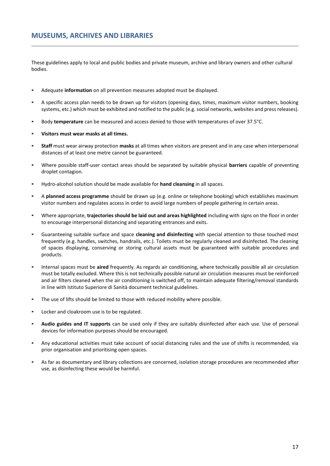These guidelines apply to local and public bodies and private museum, archive and library owners and other cultural bodies.

- Adequate **information** on all prevention measures adopted must be displayed.
- A specific access plan needs to be drawn up for visitors (opening days, times, maximum visitor numbers, booking systems, etc.) which must be exhibited and notified to the public (e.g. social networks, websites and press releases).
- Body **temperature** can be measured and access denied to those with temperatures of over 37.5°C.
- **Visitors must wear masks at all times.**
- **Staff** must wear airway protection **masks** at all times when visitors are present and in any case when interpersonal distances of at least one metre cannot be guaranteed.
- Where possible staff-user contact areas should be separated by suitable physical **barriers** capable of preventing droplet contagion.
- Hydro-alcohol solution should be made available for **hand cleansing** in all spaces.
- A **planned access programme** should be drawn up (e.g. online or telephone booking) which establishes maximum visitor numbers and regulates access in order to avoid large numbers of people gathering in certain areas.
- Where appropriate, **trajectories should be laid out and areas highlighted** including with signs on the floor in order to encourage interpersonal distancing and separating entrances and exits.
- Guaranteeing suitable surface and space **cleaning and disinfecting** with special attention to those touched most frequently (e.g. handles, switches, handrails, etc.). Toilets must be regularly cleaned and disinfected. The cleaning of spaces displaying, conserving or storing cultural assets must be guaranteed with suitable procedures and products.
- Internal spaces must be **aired** frequently. As regards air conditioning, where technically possible all air circulation must be totally excluded. Where this is not technically possible natural air circulation measures must be reinforced and air filters cleaned when the air conditioning is switched off, to maintain adequate filtering/removal standards in line with Istituto Superiore di Sanità document technical guidelines.
- The use of lifts should be limited to those with reduced mobility where possible.
- Locker and cloakroom use is to be regulated.
- **Audio guides and IT supports** can be used only if they are suitably disinfected after each use. Use of personal devices for information purposes should be encouraged.
- Any educational activities must take account of social distancing rules and the use of shifts is recommended, via prior organisation and prioritising open spaces.
- As far as documentary and library collections are concerned, isolation storage procedures are recommended after use, as disinfecting these would be harmful.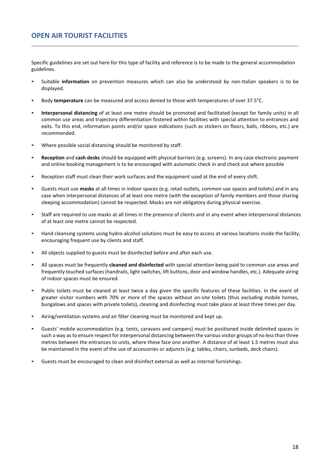Specific guidelines are set out here for this type of facility and reference is to be made to the general accommodation guidelines.

- Suitable **information** on prevention measures which can also be understood by non-Italian speakers is to be displayed.
- Body **temperature** can be measured and access denied to those with temperatures of over 37.5°C.
- Interpersonal distancing of at least one metre should be promoted and facilitated (except for family units) in all common use areas and trajectory differentiation fostered within facilities with special attention to entrances and exits. To this end, information points and/or space indications (such as stickers on floors, balls, ribbons, etc.) are recommended.
- Where possible social distancing should be monitored by staff.
- Reception and cash desks should be equipped with physical barriers (e.g. screens). In any case electronic payment and online booking management is to be encouraged with automatic check in and check out where possible
- Reception staff must clean their work surfaces and the equipment used at the end of every shift.
- Guests must use **masks** at all times in indoor spaces (e.g. retail outlets, common use spaces and toilets) and in any case when interpersonal distances of at least one metre (with the exception of family members and those sharing sleeping accommodation) cannot be respected. Masks are not obligatory during physical exercise.
- Staff are required to use masks at all times in the presence of clients and in any event when interpersonal distances of at least one metre cannot be respected.
- Hand cleansing systems using hydro-alcohol solutions must be easy to access at various locations inside the facility, encouraging frequent use by clients and staff.
- All objects supplied to guests must be disinfected before and after each use.
- All spaces must be frequently **cleaned and disinfected** with special attention being paid to common use areas and frequently touched surfaces (handrails, light switches, lift buttons, door and window handles, etc.). Adequate airing of indoor spaces must be ensured.
- Public toilets must be cleaned at least twice a day given the specific features of these facilities. In the event of greater visitor numbers with 70% or more of the spaces without on-site toilets (thus excluding mobile homes, bungalows and spaces with private toilets), cleaning and disinfecting must take place at least three times per day.
- Airing/ventilation systems and air filter cleaning must be monitored and kept up.
- Guests' mobile accommodation (e.g. tents, caravans and campers) must be positioned inside delimited spaces in such a way as to ensure respect for interpersonal distancing between the various visitor groups of no less than three metres between the entrances to units, where these face one another. A distance of at least 1.5 metres must also be maintained in the event of the use of accessories or adjuncts (e.g. tables, chairs, sunbeds, deck chairs).
- Guests must be encouraged to clean and disinfect external as well as internal furnishings.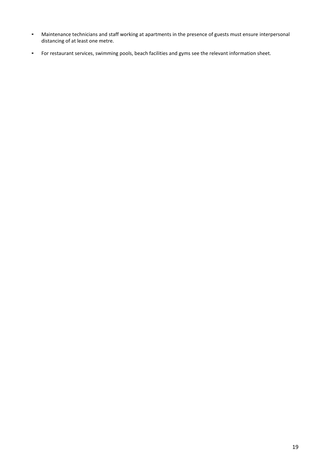- Maintenance technicians and staff working at apartments in the presence of guests must ensure interpersonal distancing of at least one metre.
- For restaurant services, swimming pools, beach facilities and gyms see the relevant information sheet.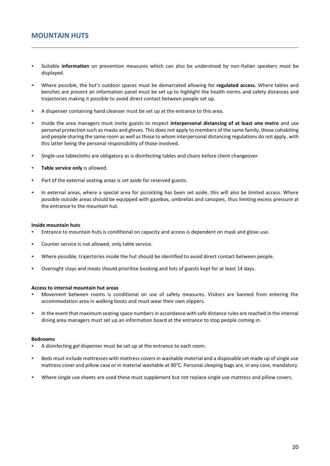- Suitable **information** on prevention measures which can also be understood by non-Italian speakers must be displayed.
- Where possible, the hut's outdoor spaces must be demarcated allowing for **regulated access.** Where tables and benches are present an information panel must be set up to highlight the health norms and safety distances and trajectories making it possible to avoid direct contact between people set up.
- A dispenser containing hand cleanser must be set up at the entrance to this area.
- Inside the area managers must invite guests to respect **interpersonal distancing of at least one metre** and use personal protection such as masks and gloves. This does not apply to members of the same family, those cohabiting and people sharing the same room as well as those to whom interpersonal distancing regulations do not apply, with this latter being the personal responsibility of those involved.
- Single-use tablecloths are obligatory as is disinfecting tables and chairs before client changeover.
- **Table service only** is allowed.
- Part of the external seating areas is set aside for reserved guests.
- In external areas, where a special area for picnicking has been set aside, this will also be limited access. Where possible outside areas should be equipped with gazebos, umbrellas and canopies, thus limiting excess pressure at the entrance to the mountain hut.

#### **Inside mountain huts**

- Entrance to mountain huts is conditional on capacity and access is dependent on mask and glove use.
- Counter service is not allowed, only table service.
- Where possible, trajectories inside the hut should be identified to avoid direct contact between people.
- Overnight stays and meals should prioritise booking and lists of guests kept for at least 14 days.

#### **Access to internal mountain hut areas**

- Movement between rooms is conditional on use of safety measures. Visitors are banned from entering the accommodation area in walking boots and must wear their own slippers.
- In the event that maximum seating space numbers in accordance with safe distance rules are reached in the internal dining area managers must set up an information board at the entrance to stop people coming in.

#### **Bedrooms**

- A disinfecting gel dispenser must be set up at the entrance to each room.
- Beds must include mattresses with mattress covers in washable material and a disposable set made up of single use mattress cover and pillow case or in material washable at 90°C. Personal sleeping bags are, in any case, mandatory.
- Where single use sheets are used these must supplement but not replace single use mattress and pillow covers.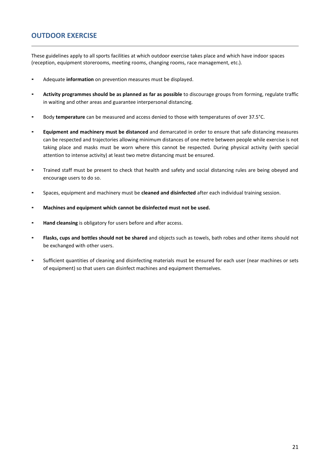### **OUTDOOR EXERCISE**

These guidelines apply to all sports facilities at which outdoor exercise takes place and which have indoor spaces (reception, equipment storerooms, meeting rooms, changing rooms, race management, etc.).

- Adequate **information** on prevention measures must be displayed.
- **Activity programmes should be as planned as far as possible** to discourage groups from forming, regulate traffic in waiting and other areas and guarantee interpersonal distancing.
- Body **temperature** can be measured and access denied to those with temperatures of over 37.5°C.
- **Equipment and machinery must be distanced** and demarcated in order to ensure that safe distancing measures can be respected and trajectories allowing minimum distances of one metre between people while exercise is not taking place and masks must be worn where this cannot be respected. During physical activity (with special attention to intense activity) at least two metre distancing must be ensured.
- Trained staff must be present to check that health and safety and social distancing rules are being obeyed and encourage users to do so.
- Spaces, equipment and machinery must be **cleaned and disinfected** after each individual training session.
- **Machines and equipment which cannot be disinfected must not be used.**
- **Hand cleansing** is obligatory for users before and after access.
- Flasks, cups and bottles should not be shared and objects such as towels, bath robes and other items should not be exchanged with other users.
- Sufficient quantities of cleaning and disinfecting materials must be ensured for each user (near machines or sets of equipment) so that users can disinfect machines and equipment themselves.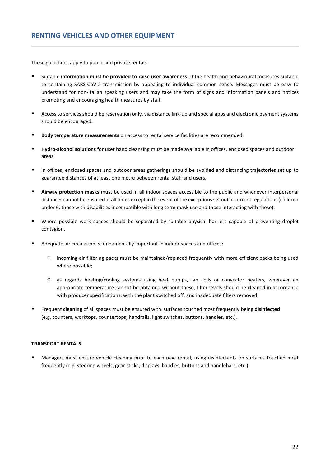These guidelines apply to public and private rentals.

- Suitable information must be provided to raise user awareness of the health and behavioural measures suitable to containing SARS-CoV-2 transmission by appealing to individual common sense. Messages must be easy to understand for non-Italian speaking users and may take the form of signs and information panels and notices promoting and encouraging health measures by staff.
- Access to services should be reservation only, via distance link-up and special apps and electronic payment systems should be encouraged.
- Body temperature measurements on access to rental service facilities are recommended.
- **Hydro-alcohol solutions** for user hand cleansing must be made available in offices, enclosed spaces and outdoor areas.
- In offices, enclosed spaces and outdoor areas gatherings should be avoided and distancing trajectories set up to guarantee distances of at least one metre between rental staff and users.
- Airway protection masks must be used in all indoor spaces accessible to the public and whenever interpersonal distances cannot be ensured at all times except in the event of the exceptions set out in current regulations (children under 6, those with disabilities incompatible with long term mask use and those interacting with these).
- Where possible work spaces should be separated by suitable physical barriers capable of preventing droplet contagion.
- Adequate air circulation is fundamentally important in indoor spaces and offices:
	- incoming air filtering packs must be maintained/replaced frequently with more efficient packs being used where possible;
	- as regards heating/cooling systems using heat pumps, fan coils or convector heaters, wherever an appropriate temperature cannot be obtained without these, filter levels should be cleaned in accordance with producer specifications, with the plant switched off, and inadequate filters removed.
- Frequent **cleaning** of all spaces must be ensured with surfaces touched most frequently being **disinfected** (e.g. counters, worktops, countertops, handrails, light switches, buttons, handles, etc.).

#### **TRANSPORT RENTALS**

Managers must ensure vehicle cleaning prior to each new rental, using disinfectants on surfaces touched most frequently (e.g. steering wheels, gear sticks, displays, handles, buttons and handlebars, etc.).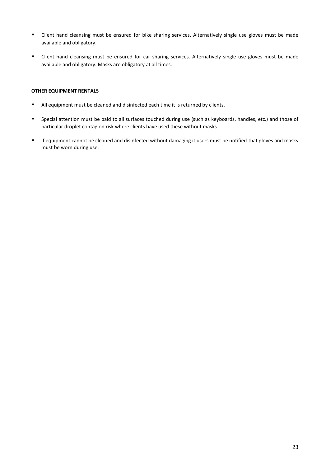- Client hand cleansing must be ensured for bike sharing services. Alternatively single use gloves must be made available and obligatory.
- Client hand cleansing must be ensured for car sharing services. Alternatively single use gloves must be made available and obligatory. Masks are obligatory at all times.

#### **OTHER EQUIPMENT RENTALS**

- All equipment must be cleaned and disinfected each time it is returned by clients.
- Special attention must be paid to all surfaces touched during use (such as keyboards, handles, etc.) and those of particular droplet contagion risk where clients have used these without masks.
- If equipment cannot be cleaned and disinfected without damaging it users must be notified that gloves and masks must be worn during use.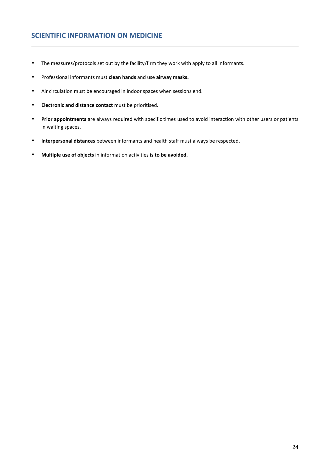### **SCIENTIFIC INFORMATION ON MEDICINE**

- The measures/protocols set out by the facility/firm they work with apply to all informants.
- Professional informants must **clean hands** and use **airway masks.**
- Air circulation must be encouraged in indoor spaces when sessions end.
- **Electronic and distance contact** must be prioritised.
- **Prior appointments** are always required with specific times used to avoid interaction with other users or patients in waiting spaces.
- **Interpersonal distances** between informants and health staff must always be respected.
- **Multiple use of objects** in information activities **is to be avoided.**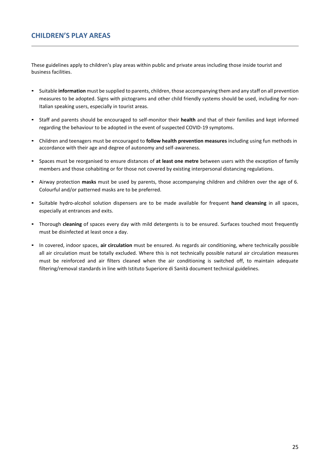These guidelines apply to children's play areas within public and private areas including those inside tourist and business facilities.

- Suitable **information** must be supplied to parents, children, those accompanying them and any staff on all prevention measures to be adopted. Signs with pictograms and other child friendly systems should be used, including for non-Italian speaking users, especially in tourist areas.
- Staff and parents should be encouraged to self-monitor their **health** and that of their families and kept informed regarding the behaviour to be adopted in the event of suspected COVID-19 symptoms.
- Children and teenagers must be encouraged to **follow health prevention measures** including using fun methods in accordance with their age and degree of autonomy and self-awareness.
- Spaces must be reorganised to ensure distances of **at least one metre** between users with the exception of family members and those cohabiting or for those not covered by existing interpersonal distancing regulations.
- Airway protection **masks** must be used by parents, those accompanying children and children over the age of 6. Colourful and/or patterned masks are to be preferred.
- Suitable hydro-alcohol solution dispensers are to be made available for frequent **hand cleansing** in all spaces, especially at entrances and exits.
- Thorough **cleaning** of spaces every day with mild detergents is to be ensured. Surfaces touched most frequently must be disinfected at least once a day.
- In covered, indoor spaces, **air circulation** must be ensured. As regards air conditioning, where technically possible all air circulation must be totally excluded. Where this is not technically possible natural air circulation measures must be reinforced and air filters cleaned when the air conditioning is switched off, to maintain adequate filtering/removal standards in line with Istituto Superiore di Sanità document technical guidelines.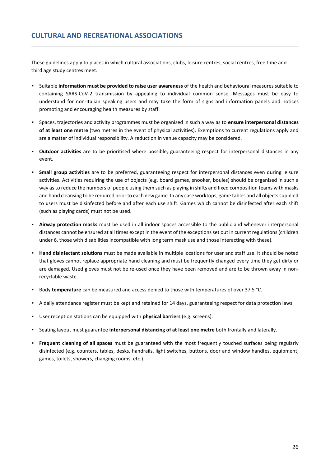These guidelines apply to places in which cultural associations, clubs, leisure centres, social centres, free time and third age study centres meet.

- Suitable **information must be provided to raise user awareness** of the health and behavioural measures suitable to containing SARS-CoV-2 transmission by appealing to individual common sense. Messages must be easy to understand for non-Italian speaking users and may take the form of signs and information panels and notices promoting and encouraging health measures by staff.
- Spaces, trajectories and activity programmes must be organised in such a way as to **ensure interpersonal distances of at least one metre** (two metres in the event of physical activities). Exemptions to current regulations apply and are a matter of individual responsibility. A reduction in venue capacity may be considered.
- **Outdoor activities** are to be prioritised where possible, guaranteeing respect for interpersonal distances in any event.
- Small group activities are to be preferred, guaranteeing respect for interpersonal distances even during leisure activities. Activities requiring the use of objects (e.g. board games, snooker, boules) should be organised in such a way as to reduce the numbers of people using them such as playing in shifts and fixed composition teams with masks and hand cleansing to be required prior to each new game. In any case worktops, game tables and all objects supplied to users must be disinfected before and after each use shift. Games which cannot be disinfected after each shift (such as playing cards) must not be used.
- **Airway protection masks** must be used in all indoor spaces accessible to the public and whenever interpersonal distances cannot be ensured at all times except in the event of the exceptions set out in current regulations (children under 6, those with disabilities incompatible with long term mask use and those interacting with these).
- Hand disinfectant solutions must be made available in multiple locations for user and staff use. It should be noted that gloves cannot replace appropriate hand cleaning and must be frequently changed every time they get dirty or are damaged. Used gloves must not be re-used once they have been removed and are to be thrown away in nonrecyclable waste.
- Body **temperature** can be measured and access denied to those with temperatures of over 37.5 °C.
- A daily attendance register must be kept and retained for 14 days, guaranteeing respect for data protection laws.
- User reception stations can be equipped with **physical barriers** (e.g. screens).
- Seating layout must guarantee **interpersonal distancing of at least one metre** both frontally and laterally.
- **Frequent cleaning of all spaces** must be guaranteed with the most frequently touched surfaces being regularly disinfected (e.g. counters, tables, desks, handrails, light switches, buttons, door and window handles, equipment, games, toilets, showers, changing rooms, etc.).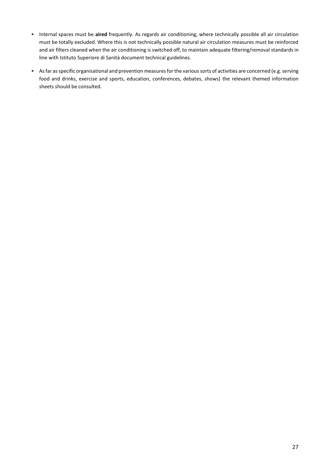- Internal spaces must be **aired** frequently. As regards air conditioning, where technically possible all air circulation must be totally excluded. Where this is not technically possible natural air circulation measures must be reinforced and air filters cleaned when the air conditioning is switched off, to maintain adequate filtering/removal standards in line with Istituto Superiore di Sanità document technical guidelines.
- As far as specific organisational and prevention measures for the various sorts of activities are concerned (e.g. serving food and drinks, exercise and sports, education, conferences, debates, shows) the relevant themed information sheets should be consulted.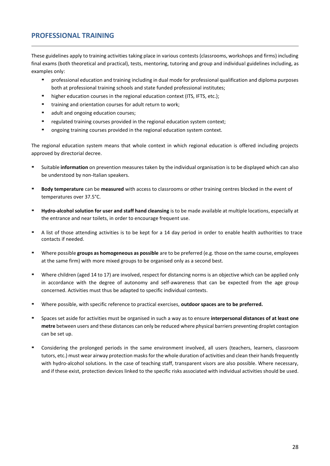### **PROFESSIONAL TRAINING**

These guidelines apply to training activities taking place in various contests (classrooms, workshops and firms) including final exams (both theoretical and practical), tests, mentoring, tutoring and group and individual guidelines including, as examples only:

- professional education and training including in dual mode for professional qualification and diploma purposes both at professional training schools and state funded professional institutes;
- higher education courses in the regional education context (ITS, IFTS, etc.);
- training and orientation courses for adult return to work;
- adult and ongoing education courses;
- regulated training courses provided in the regional education system context;
- ongoing training courses provided in the regional education system context.

The regional education system means that whole context in which regional education is offered including projects approved by directorial decree.

- Suitable **information** on prevention measures taken by the individual organisation is to be displayed which can also be understood by non-Italian speakers.
- **Body temperature** can be **measured** with access to classrooms or other training centres blocked in the event of temperatures over 37.5°C.
- **Hydro-alcohol solution for user and staff hand cleansing** is to be made available at multiple locations, especially at the entrance and near toilets, in order to encourage frequent use.
- A list of those attending activities is to be kept for a 14 day period in order to enable health authorities to trace contacts if needed.
- Where possible **groups as homogeneous as possible** are to be preferred (e.g. those on the same course, employees at the same firm) with more mixed groups to be organised only as a second best.
- Where children (aged 14 to 17) are involved, respect for distancing norms is an objective which can be applied only in accordance with the degree of autonomy and self-awareness that can be expected from the age group concerned. Activities must thus be adapted to specific individual contexts.
- Where possible, with specific reference to practical exercises, outdoor spaces are to be preferred.
- Spaces set aside for activities must be organised in such a way as to ensure **interpersonal distances of at least one metre** between users and these distances can only be reduced where physical barriers preventing droplet contagion can be set up.
- Considering the prolonged periods in the same environment involved, all users (teachers, learners, classroom tutors, etc.) must wear airway protection masks for the whole duration of activities and clean their hands frequently with hydro-alcohol solutions. In the case of teaching staff, transparent visors are also possible. Where necessary, and if these exist, protection devices linked to the specific risks associated with individual activities should be used.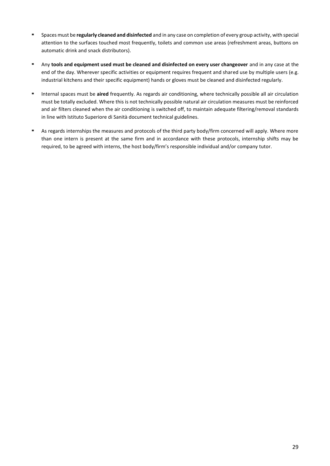- Spaces must be **regularly cleaned and disinfected** and in any case on completion of every group activity, with special attention to the surfaces touched most frequently, toilets and common use areas (refreshment areas, buttons on automatic drink and snack distributors).
- Any **tools and equipment used must be cleaned and disinfected on every user changeover** and in any case at the end of the day. Wherever specific activities or equipment requires frequent and shared use by multiple users (e.g. industrial kitchens and their specific equipment) hands or gloves must be cleaned and disinfected regularly.
- **EXED INTER 18 Internal spaces must be aired** frequently. As regards air conditioning, where technically possible all air circulation must be totally excluded. Where this is not technically possible natural air circulation measures must be reinforced and air filters cleaned when the air conditioning is switched off, to maintain adequate filtering/removal standards in line with Istituto Superiore di Sanità document technical guidelines.
- As regards internships the measures and protocols of the third party body/firm concerned will apply. Where more than one intern is present at the same firm and in accordance with these protocols, internship shifts may be required, to be agreed with interns, the host body/firm's responsible individual and/or company tutor.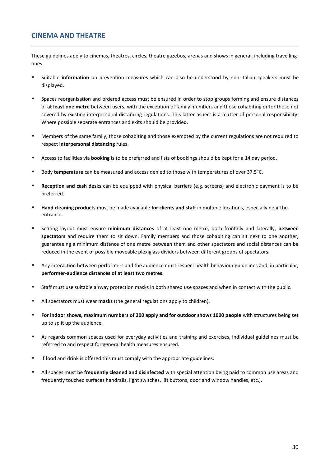### **CINEMA AND THEATRE**

These guidelines apply to cinemas, theatres, circles, theatre gazebos, arenas and shows in general, including travelling ones.

- Suitable **information** on prevention measures which can also be understood by non-Italian speakers must be displayed.
- Spaces reorganisation and ordered access must be ensured in order to stop groups forming and ensure distances of **at least one metre** between users, with the exception of family members and those cohabiting or for those not covered by existing interpersonal distancing regulations. This latter aspect is a matter of personal responsibility. Where possible separate entrances and exits should be provided.
- Members of the same family, those cohabiting and those exempted by the current regulations are not required to respect **interpersonal distancing** rules.
- Access to facilities via **booking** is to be preferred and lists of bookings should be kept for a 14 day period.
- Body **temperature** can be measured and access denied to those with temperatures of over 37.5°C.
- **EXECT AND FIRE CONTEX 2018 CONTEX FIRE 2018 Reception and clear is to be Reception and electronic payment is to be** preferred.
- Hand cleaning products must be made available for clients and staff in multiple locations, especially near the entrance.
- Seating layout must ensure **minimum distances** of at least one metre, both frontally and laterally, **between spectators** and require them to sit down. Family members and those cohabiting can sit next to one another, guaranteeing a minimum distance of one metre between them and other spectators and social distances can be reduced in the event of possible moveable plexiglass dividers between different groups of spectators.
- Any interaction between performers and the audience must respect health behaviour guidelines and, in particular, **performer-audience distances of at least two metres.**
- Staff must use suitable airway protection masks in both shared use spaces and when in contact with the public.
- All spectators must wear **masks** (the general regulations apply to children).
- **For indoor shows, maximum numbers of 200 apply and for outdoor shows 1000 people** with structures being set up to split up the audience.
- As regards common spaces used for everyday activities and training and exercises, individual guidelines must be referred to and respect for general health measures ensured.
- **■** If food and drink is offered this must comply with the appropriate guidelines.
- All spaces must be *frequently cleaned and disinfected* with special attention being paid to common use areas and frequently touched surfaces handrails, light switches, lift buttons, door and window handles, etc.).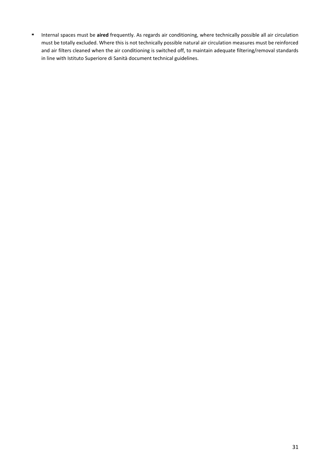▪ Internal spaces must be **aired** frequently. As regards air conditioning, where technically possible all air circulation must be totally excluded. Where this is not technically possible natural air circulation measures must be reinforced and air filters cleaned when the air conditioning is switched off, to maintain adequate filtering/removal standards in line with Istituto Superiore di Sanità document technical guidelines.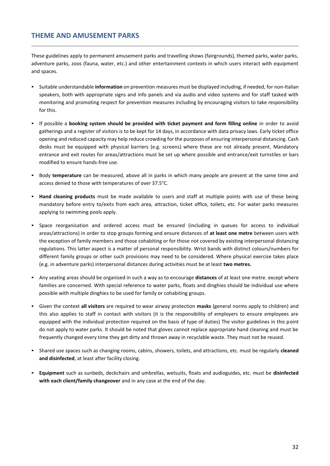### **THEME AND AMUSEMENT PARKS**

These guidelines apply to permanent amusement parks and travelling shows (fairgrounds), themed parks, water parks, adventure parks, zoos (fauna, water, etc.) and other entertainment contexts in which users interact with equipment and spaces.

- Suitable understandable **information** on prevention measures must be displayed including, if needed, for non-Italian speakers, both with appropriate signs and info panels and via audio and video systems and for staff tasked with monitoring and promoting respect for prevention measures including by encouraging visitors to take responsibility for this.
- If possible a **booking system should be provided with ticket payment and form filling online** in order to avoid gatherings and a register of visitors is to be kept for 14 days, in accordance with data privacy laws. Early ticket office opening and reduced capacity may help reduce crowding for the purposes of ensuring interpersonal distancing. Cash desks must be equipped with physical barriers (e.g. screens) where these are not already present. Mandatory entrance and exit routes for areas/attractions must be set up where possible and entrance/exit turnstiles or bars modified to ensure hands-free use.
- Body **temperature** can be measured, above all in parks in which many people are present at the same time and access denied to those with temperatures of over 37.5°C.
- **Hand cleaning products** must be made available to users and staff at multiple points with use of these being mandatory before entry to/exits from each area, attraction, ticket office, toilets, etc. For water parks measures applying to swimming pools apply.
- Space reorganisation and ordered access must be ensured (including in queues for access to individual areas/attractions) in order to stop groups forming and ensure distances of **at least one metre** between users with the exception of family members and those cohabiting or for those not covered by existing interpersonal distancing regulations. This latter aspect is a matter of personal responsibility. Wrist bands with distinct colours/numbers for different family groups or other such provisions may need to be considered. Where physical exercise takes place (e.g. in adventure parks) interpersonal distances during activities must be at least **two metres.**
- Any seating areas should be organised in such a way as to encourage **distances** of at least one metre. except where families are concerned. With special reference to water parks, floats and dinghies should be individual use where possible with multiple dinghies to be used for family or cohabiting groups.
- Given the context **all visitors** are required to wear airway protection **masks** (general norms apply to children) and this also applies to staff in contact with visitors (it is the responsibility of employers to ensure employees are equipped with the individual protection required on the basis of type of duties) The visitor guidelines in this point do not apply to water parks. It should be noted that gloves cannot replace appropriate hand cleaning and must be frequently changed every time they get dirty and thrown away in recyclable waste. They must not be reused.
- Shared use spaces such as changing rooms, cabins, showers, toilets, and attractions, etc. must be regularly **cleaned and disinfected**, at least after facility closing.
- **Equipment** such as sunbeds, deckchairs and umbrellas, wetsuits, floats and audioguides, etc. must be **disinfected with each client/family changeover** and in any case at the end of the day.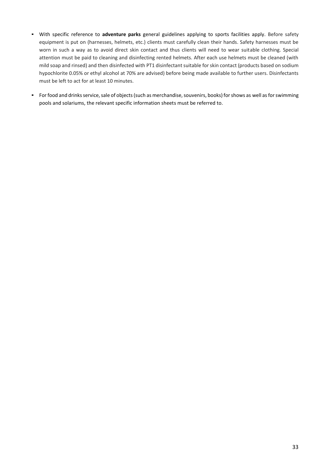- With specific reference to **adventure parks** general guidelines applying to sports facilities apply. Before safety equipment is put on (harnesses, helmets, etc.) clients must carefully clean their hands. Safety harnesses must be worn in such a way as to avoid direct skin contact and thus clients will need to wear suitable clothing. Special attention must be paid to cleaning and disinfecting rented helmets. After each use helmets must be cleaned (with mild soap and rinsed) and then disinfected with PT1 disinfectant suitable for skin contact (products based on sodium hypochlorite 0.05% or ethyl alcohol at 70% are advised) before being made available to further users. Disinfectants must be left to act for at least 10 minutes.
- For food and drinks service, sale of objects (such as merchandise, souvenirs, books) for shows as well as for swimming pools and solariums, the relevant specific information sheets must be referred to.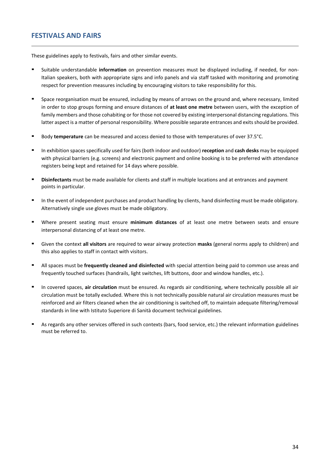### **FESTIVALS AND FAIRS**

These guidelines apply to festivals, fairs and other similar events.

- Suitable understandable *information* on prevention measures must be displayed including, if needed, for non-Italian speakers, both with appropriate signs and info panels and via staff tasked with monitoring and promoting respect for prevention measures including by encouraging visitors to take responsibility for this.
- Space reorganisation must be ensured, including by means of arrows on the ground and, where necessary, limited in order to stop groups forming and ensure distances of **at least one metre** between users, with the exception of family members and those cohabiting or for those not covered by existing interpersonal distancing regulations. This latter aspect is a matter of personal responsibility. Where possible separate entrances and exits should be provided.
- Body **temperature** can be measured and access denied to those with temperatures of over 37.5°C.
- In exhibition spaces specifically used for fairs (both indoor and outdoor) **reception** and **cash desks** may be equipped with physical barriers (e.g. screens) and electronic payment and online booking is to be preferred with attendance registers being kept and retained for 14 days where possible.
- **Disinfectants** must be made available for clients and staff in multiple locations and at entrances and payment points in particular.
- **■** In the event of independent purchases and product handling by clients, hand disinfecting must be made obligatory. Alternatively single use gloves must be made obligatory.
- Where present seating must ensure **minimum distances** of at least one metre between seats and ensure interpersonal distancing of at least one metre.
- Given the context **all visitors** are required to wear airway protection **masks** (general norms apply to children) and this also applies to staff in contact with visitors.
- All spaces must be *frequently cleaned and disinfected* with special attention being paid to common use areas and frequently touched surfaces (handrails, light switches, lift buttons, door and window handles, etc.).
- In covered spaces, **air circulation** must be ensured. As regards air conditioning, where technically possible all air circulation must be totally excluded. Where this is not technically possible natural air circulation measures must be reinforced and air filters cleaned when the air conditioning is switched off, to maintain adequate filtering/removal standards in line with Istituto Superiore di Sanità document technical guidelines.
- As regards any other services offered in such contexts (bars, food service, etc.) the relevant information guidelines must be referred to.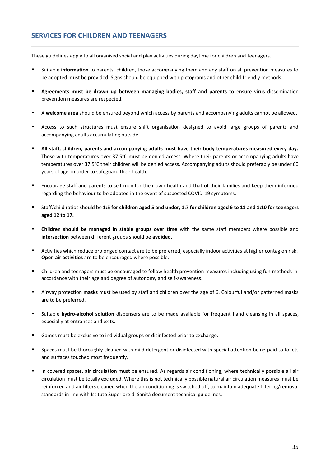### **SERVICES FOR CHILDREN AND TEENAGERS**

These guidelines apply to all organised social and play activities during daytime for children and teenagers.

- Suitable information to parents, children, those accompanying them and any staff on all prevention measures to be adopted must be provided. Signs should be equipped with pictograms and other child-friendly methods.
- Agreements must be drawn up between managing bodies, staff and parents to ensure virus dissemination prevention measures are respected.
- <sup>A</sup>**welcome area** should be ensured beyond which access by parents and accompanying adults cannot be allowed.
- Access to such structures must ensure shift organisation designed to avoid large groups of parents and accompanying adults accumulating outside.
- All staff, children, parents and accompanying adults must have their body temperatures measured every day. Those with temperatures over 37.5°C must be denied access. Where their parents or accompanying adults have temperatures over 37.5°C their children will be denied access. Accompanying adults should preferably be under 60 years of age, in order to safeguard their health.
- Encourage staff and parents to self-monitor their own health and that of their families and keep them informed regarding the behaviour to be adopted in the event of suspected COVID-19 symptoms.
- Staff/child ratios should be **1:5 for children aged 5 and under, 1:7 for children aged 6 to 11 and 1:10 for teenagers aged 12 to 17.**
- **Children should be managed in stable groups over time** with the same staff members where possible and **intersection** between different groups should be **avoided**.
- Activities which reduce prolonged contact are to be preferred, especially indoor activities at higher contagion risk. **Open air activities** are to be encouraged where possible.
- Children and teenagers must be encouraged to follow health prevention measures including using fun methods in accordance with their age and degree of autonomy and self-awareness.
- Airway protection **masks** must be used by staff and children over the age of 6. Colourful and/or patterned masks are to be preferred.
- Suitable **hydro-alcohol solution** dispensers are to be made available for frequent hand cleansing in all spaces, especially at entrances and exits.
- Games must be exclusive to individual groups or disinfected prior to exchange.
- Spaces must be thoroughly cleaned with mild detergent or disinfected with special attention being paid to toilets and surfaces touched most frequently.
- In covered spaces, **air circulation** must be ensured. As regards air conditioning, where technically possible all air circulation must be totally excluded. Where this is not technically possible natural air circulation measures must be reinforced and air filters cleaned when the air conditioning is switched off, to maintain adequate filtering/removal standards in line with Istituto Superiore di Sanità document technical guidelines.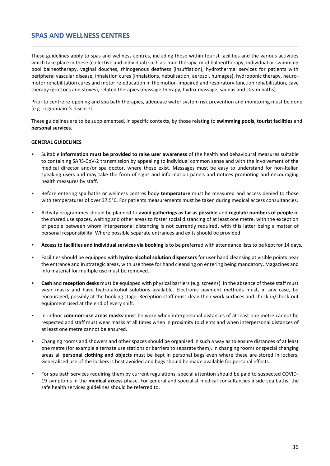### **SPAS AND WELLNESS CENTRES**

These guidelines apply to spas and wellness centres, including those within tourist facilities and the various activities which take place in these (collective and individual) such as: mud therapy, mud balneotherapy, individual or swimming pool balneotherapy, vaginal douches, rhinogenous deafness (insufflation), hydrothermal services for patients with peripheral vascular disease, inhalation cures (inhalations, nebulisation, aerosol, humages), hydroponic therapy, neuromotor rehabilitation cures and motor re-education in the motion-impaired and respiratory function rehabilitation, cave therapy (grottoes and stoves), related therapies (massage therapy, hydro-massage, saunas and steam baths).

Prior to centre re-opening and spa bath therapies, adequate water system risk prevention and monitoring must be done (e.g. Legionnaire's disease).

These guidelines are to be supplemented, in specific contexts, by those relating to **swimming pools, tourist facilities** and **personal services**.

#### **GENERAL GUIDELINES**

- Suitable **information must be provided to raise user awareness** of the health and behavioural measures suitable to containing SARS-CoV-2 transmission by appealing to individual common sense and with the involvement of the medical director and/or spa doctor, where these exist. Messages must be easy to understand for non-Italian speaking users and may take the form of signs and information panels and notices promoting and encouraging health measures by staff.
- Before entering spa baths or wellness centres body *temperature* must be measured and access denied to those with temperatures of over 37.5°C. For patients measurements must be taken during medical access consultancies.
- Activity programmes should be planned to **avoid gatherings as far as possible** and **regulate numbers of people i**n the shared use spaces, waiting and other areas to foster social distancing of at least one metre, with the exception of people between whom interpersonal distancing is not currently required, with this latter being a matter of personal responsibility. Where possible separate entrances and exits should be provided.
- Access to facilities and individual services via booking is to be preferred with attendance lists to be kept for 14 days.
- Facilities should be equipped with **hydro-alcohol solution dispensers** for user hand cleansing at visible points near the entrance and in strategic areas, with use these for hand cleansing on entering being mandatory. Magazines and info material for multiple use must be removed.
- Cash and reception desks must be equipped with physical barriers (e.g. screens). In the absence of these staff must wear masks and have hydro-alcohol solutions available. Electronic payment methods must, in any case, be encouraged, possibly at the booking stage. Reception staff must clean their work surfaces and check-in/check-out equipment used at the end of every shift.
- In indoor **common-use areas masks** must be worn when interpersonal distances of at least one metre cannot be respected and staff must wear masks at all times when in proximity to clients and when interpersonal distances of at least one metre cannot be ensured.
- Changing rooms and showers and other spaces should be organised in such a way as to ensure distances of at least one metre (for example alternate use stations or barriers to separate them). In changing rooms or special changing areas all **personal clothing and objects** must be kept in personal bags even where these are stored in lockers. Generalised use of the lockers is best avoided and bags should be made available for personal effects.
- For spa bath services requiring them by current regulations, special attention should be paid to suspected COVID-19 symptoms in the **medical access** phase. For general and specialist medical consultancies inside spa baths, the safe health services guidelines should be referred to.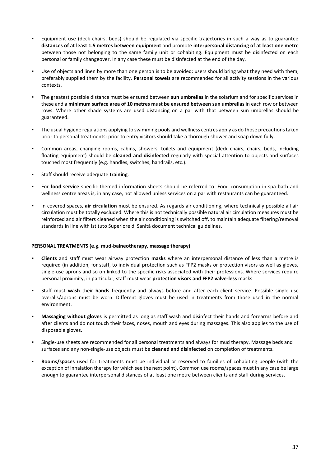- Equipment use (deck chairs, beds) should be regulated via specific trajectories in such a way as to guarantee **distances of at least 1.5 metres between equipment** and promote **interpersonal distancing of at least one metre** between those not belonging to the same family unit or cohabiting. Equipment must be disinfected on each personal or family changeover. In any case these must be disinfected at the end of the day.
- Use of objects and linen by more than one person is to be avoided: users should bring what they need with them, preferably supplied them by the facility. **Personal towels** are recommended for all activity sessions in the various contexts.
- The greatest possible distance must be ensured between **sun umbrellas** in the solarium and for specific services in these and a **minimum surface area of 10 metres must be ensured between sun umbrellas** in each row or between rows. Where other shade systems are used distancing on a par with that between sun umbrellas should be guaranteed.
- The usual hygiene regulations applying to swimming pools and wellness centres apply as do those precautions taken prior to personal treatments: prior to entry visitors should take a thorough shower and soap down fully.
- Common areas, changing rooms, cabins, showers, toilets and equipment (deck chairs, chairs, beds, including floating equipment) should be **cleaned and disinfected** regularly with special attention to objects and surfaces touched most frequently (e.g. handles, switches, handrails, etc.).
- Staff should receive adequate **training**.
- For **food service** specific themed information sheets should be referred to. Food consumption in spa bath and wellness centre areas is, in any case, not allowed unless services on a par with restaurants can be guaranteed.
- In covered spaces, **air circulation** must be ensured. As regards air conditioning, where technically possible all air circulation must be totally excluded. Where this is not technically possible natural air circulation measures must be reinforced and air filters cleaned when the air conditioning is switched off, to maintain adequate filtering/removal standards in line with Istituto Superiore di Sanità document technical guidelines.

#### **PERSONAL TREATMENTS (e.g. mud-balneotherapy, massage therapy)**

- **Clients** and staff must wear airway protection **masks** where an interpersonal distance of less than a metre is required (in addition, for staff, to individual protection such as FFP2 masks or protection visors as well as gloves, single-use aprons and so on linked to the specific risks associated with their professions. Where services require personal proximity, in particular, staff must wear **protection visors and FFP2 valve-less** masks.
- Staff must wash their hands frequently and always before and after each client service. Possible single use overalls/aprons must be worn. Different gloves must be used in treatments from those used in the normal environment.
- **Massaging without gloves** is permitted as long as staff wash and disinfect their hands and forearms before and after clients and do not touch their faces, noses, mouth and eyes during massages. This also applies to the use of disposable gloves.
- Single-use sheets are recommended for all personal treatments and always for mud therapy. Massage beds and surfaces and any non-single-use objects must be **cleaned and disinfected** on completion of treatments.
- **Rooms/spaces** used for treatments must be individual or reserved to families of cohabiting people (with the exception of inhalation therapy for which see the next point). Common use rooms/spaces must in any case be large enough to guarantee interpersonal distances of at least one metre between clients and staff during services.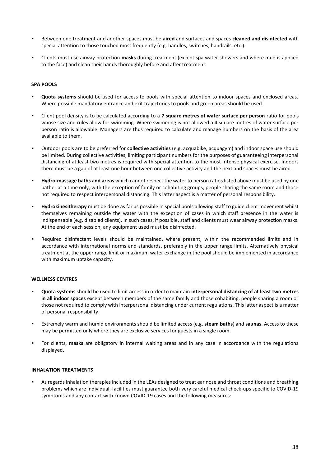- Between one treatment and another spaces must be **aired** and surfaces and spaces **cleaned and disinfected** with special attention to those touched most frequently (e.g. handles, switches, handrails, etc.).
- Clients must use airway protection **masks** during treatment (except spa water showers and where mud is applied to the face) and clean their hands thoroughly before and after treatment.

#### **SPA POOLS**

- Quota systems should be used for access to pools with special attention to indoor spaces and enclosed areas. Where possible mandatory entrance and exit trajectories to pools and green areas should be used.
- Client pool density is to be calculated according to a **7 square metres of water surface per person** ratio for pools whose size and rules allow for swimming. Where swimming is not allowed a 4 square metres of water surface per person ratio is allowable. Managers are thus required to calculate and manage numbers on the basis of the area available to them.
- Outdoor pools are to be preferred for **collective activities** (e.g. acquabike, acquagym) and indoor space use should be limited. During collective activities, limiting participant numbers for the purposes of guaranteeing interpersonal distancing of at least two metres is required with special attention to the most intense physical exercise. Indoors there must be a gap of at least one hour between one collective activity and the next and spaces must be aired.
- **Hydro-massage baths and areas** which cannot respect the water to person ratios listed above must be used by one bather at a time only, with the exception of family or cohabiting groups, people sharing the same room and those not required to respect interpersonal distancing. This latter aspect is a matter of personal responsibility.
- **Hydrokinesitherapy** must be done as far as possible in special pools allowing staff to guide client movement whilst themselves remaining outside the water with the exception of cases in which staff presence in the water is indispensable (e.g. disabled clients). In such cases, if possible, staff and clients must wear airway protection masks. At the end of each session, any equipment used must be disinfected.
- Required disinfectant levels should be maintained, where present, within the recommended limits and in accordance with international norms and standards, preferably in the upper range limits. Alternatively physical treatment at the upper range limit or maximum water exchange in the pool should be implemented in accordance with maximum uptake capacity.

#### **WELLNESS CENTRES**

- **Quota systems** should be used to limit access in order to maintain **interpersonal distancing of at least two metres in all indoor spaces** except between members of the same family and those cohabiting, people sharing a room or those not required to comply with interpersonal distancing under current regulations. This latter aspect is a matter of personal responsibility.
- Extremely warm and humid environments should be limited access (e.g. **steam baths**) and **saunas**. Access to these may be permitted only where they are exclusive services for guests in a single room.
- For clients, **masks** are obligatory in internal waiting areas and in any case in accordance with the regulations displayed.

#### **INHALATION TREATMENTS**

As regards inhalation therapies included in the LEAs designed to treat ear nose and throat conditions and breathing problems which are individual, facilities must guarantee both very careful medical check-ups specific to COVID-19 symptoms and any contact with known COVID-19 cases and the following measures: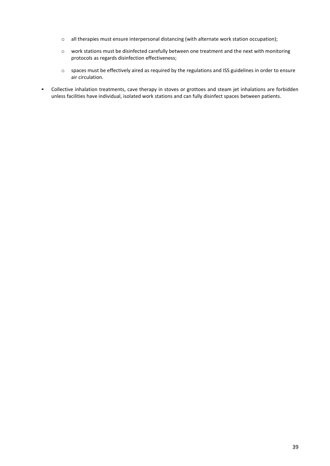- o all therapies must ensure interpersonal distancing (with alternate work station occupation);
- o work stations must be disinfected carefully between one treatment and the next with monitoring protocols as regards disinfection effectiveness;
- o spaces must be effectively aired as required by the regulations and ISS guidelines in order to ensure air circulation.
- Collective inhalation treatments, cave therapy in stoves or grottoes and steam jet inhalations are forbidden unless facilities have individual, isolated work stations and can fully disinfect spaces between patients.